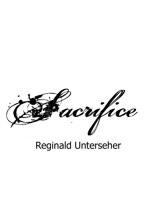

## Reginald Unterseher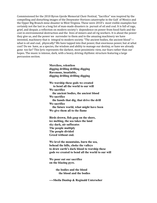Commissioned for the 2010 Byron Gjerde Memorial Choir Festival, "Sacriice" was inspired by the compelling and disturbing images of the Deepwater Horizon catastrophe in the Gulf of Mexico and the Upper Big Branch mine disaster in West Virginia. These were 2010's most visible examples but certainly not the last in a long list of man-made disasters in pursuit of oil and coal. It is full of rage, grief, and domain a reflection on modern society's dependence on power from fossil fuels and the and despair, a relection on modern society's dependence on power from fossil fuels and the cost in environmental destruction and the lives of miners and oil rig workers. It is about the power they give us, and the power we surrender to them and to the amazing machinery we have invented, machinery that is integral to modern society. "The ancient bodies, the ancient blood" my enter, meen first is the state of modern society. The ancient bodies, the ancient blood<br>what is oil and coal, physically? We have tapped into that power, that enormous power, but at what cost? Do we have, as a species, the wisdom and ability to manage our destiny, or have we already gone too far? This lyric represents the darkest, most pessimistic view, our fears rather than our hopes. The music is intense, dark, with a heavy, driving rhythmic structure featuring a large nopes. The maste r.<br>percussion section.

> **Merciless, relentless digging drilling drilling digging Ravenous, insatiable, diggingdrilling drilling digging**

**We worship these gods we created to bend all the world to our will We sacrifice the ancient bodies, the ancient blood We sacrifice the hands that dig, that drive the drill We sacrifice the future world, what might have been We give them all to the flame**

**Birds drown, fish gasp on the shore, ice melting, the sea takes the land sky dark, air suffocates The people multiply The people divided Greed without end.**

**We level the mountains, burn the sea, behead the hills, choke the valleys to draw earth's dark blood to worship these gods we created to bend all the world to our will**

**We pour out our sacrifice on the blazing pyre.**

> **the bodies and the blood the blood and the bodies**

**----Sheila Dunlop & Reginald Unterseher**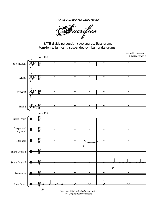for the 201110 Byron Gjerde Festival



SATB divisi, percussion (two snares, Bass drum, tom-toms, tam-tam, suspended cymbal, brake drums,

Reginald Unterseher

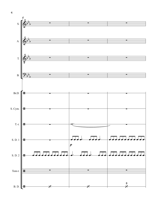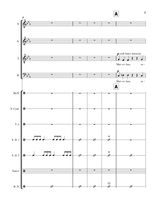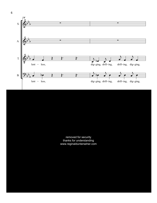

removed for security thanks for understanding www.reginaldunterseher.com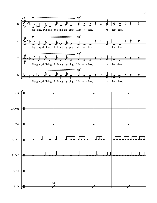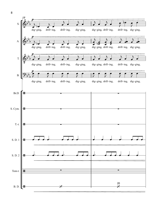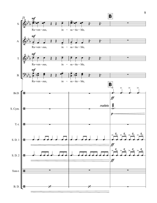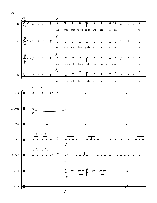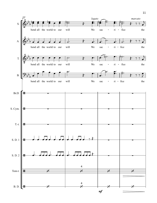

mf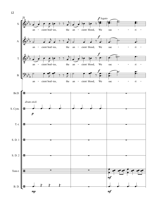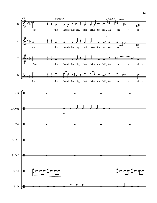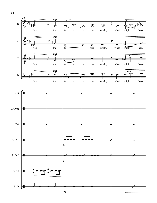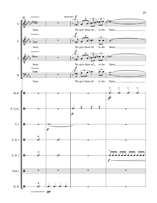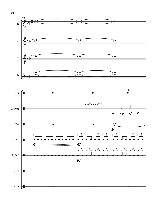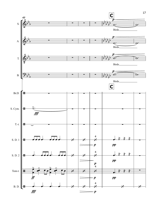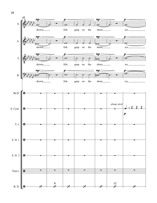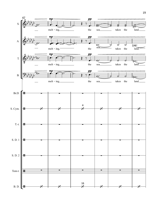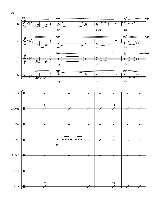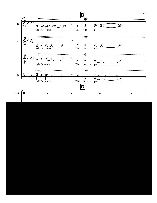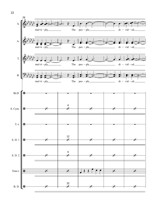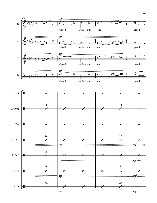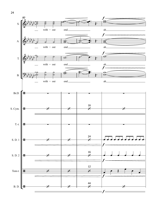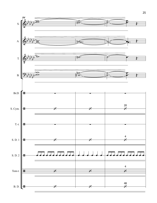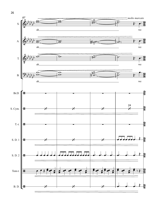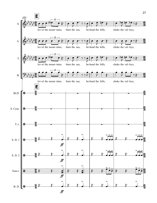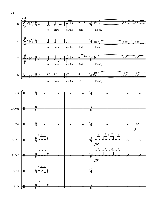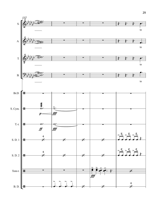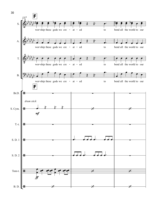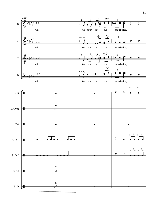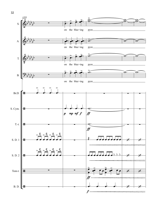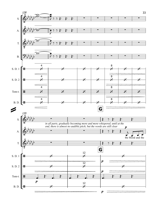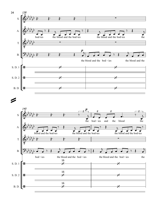



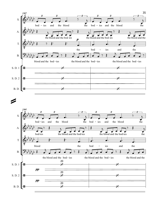

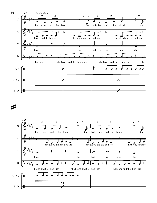



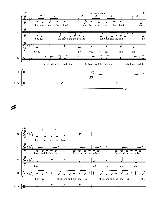



 $\mathbb{Z}$  and the set of  $\mathbb{Z}$